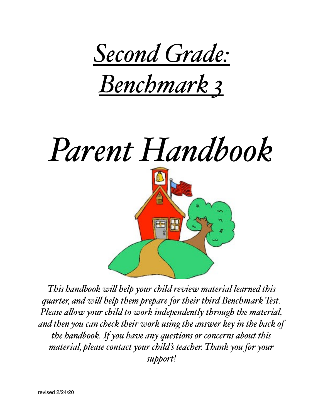

*Benchmark 3*

# *Parent Handbook*



*This handbook wil help your child review material learned this quarter, and wil help them prepare for their third Benchmark Test. Please alow your child to work independently through the material, and then you can check their work using the answer key in the back of the handbook. If you have any questions or concerns about this material, please contact your child's teacher. Thank you for your support!*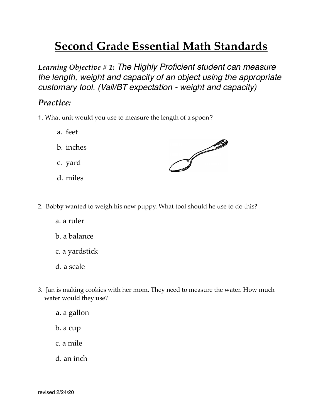## **Second Grade Essential Math Standards**

*Learning Objective # 1: The Highly Proficient student can measure the length, weight and capacity of an object using the appropriate customary tool. (Vail/BT expectation - weight and capacity)*

## *Practice:*

- 1. What unit would you use to measure the length of a spoon?
	- a. feet
	- b. inches
	- c. yard
	- d. miles



- 2. Bobby wanted to weigh his new puppy. What tool should he use to do this?
	- a. a ruler
	- b. a balance
	- c. a yardstick
	- d. a scale
- *3.* Jan is making cookies with her mom. They need to measure the water. How much water would they use?

a. a gallon b. a cup

- c. a mile
- d. an inch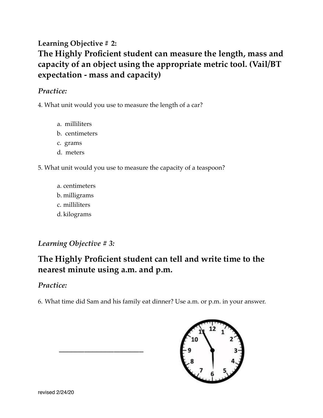## **Learning Objective # 2: The Highly Proficient student can measure the length, mass and capacity of an object using the appropriate metric tool. (Vail/BT expectation - mass and capacity)**

#### *Practice:*

4. What unit would you use to measure the length of a car?

- a. milliliters
- b. centimeters
- c. grams
- d. meters
- 5. What unit would you use to measure the capacity of a teaspoon?
	- a. centimeters b. milligrams c. milliliters d. kilograms

*Learning Objective # 3:* 

 *\_\_\_\_\_\_\_\_\_\_\_\_\_\_\_\_\_\_\_\_*

## **The Highly Proficient student can tell and write time to the nearest minute using a.m. and p.m.**

### *Practice:*

6. What time did Sam and his family eat dinner? Use a.m. or p.m. in your answer.

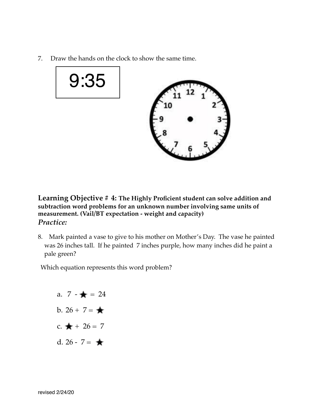7.Draw the hands on the clock to show the same time.





**Learning Objective # 4: The Highly Proficient student can solve addition and subtraction word problems for an unknown number involving same units of measurement. (Vail/BT expectation - weight and capacity)** *Practice:*

8. Mark painted a vase to give to his mother on Mother's Day. The vase he painted was 26 inches tall. If he painted 7 inches purple, how many inches did he paint a pale green?

Which equation represents this word problem?

a.  $7 - \frac{1}{2} = 24$ b.  $26 + 7 = \bigstar$ c.  $\bigstar + 26 = 7$ d.  $26 - 7 = \bigstar$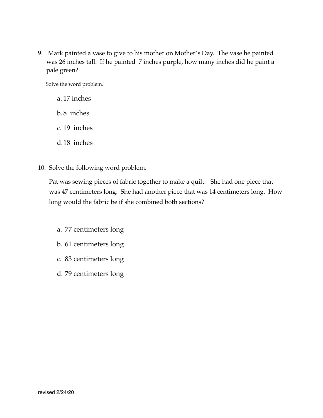9. Mark painted a vase to give to his mother on Mother's Day. The vase he painted was 26 inches tall. If he painted 7 inches purple, how many inches did he paint a pale green?

Solve the word problem.

- a. 17 inches
- b.8 inches
- c. 19 inches
- d.18 inches
- 10. Solve the following word problem.

 Pat was sewing pieces of fabric together to make a quilt. She had one piece that was 47 centimeters long. She had another piece that was 14 centimeters long. How long would the fabric be if she combined both sections?

- a. 77 centimeters long
- b. 61 centimeters long
- c. 83 centimeters long
- d. 79 centimeters long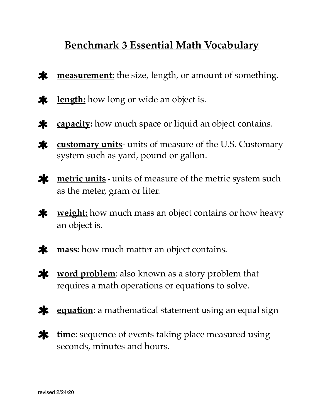## **Benchmark 3 Essential Math Vocabulary**

- **measurement:** the size, length, or amount of something.  $\boldsymbol{\ast}$
- $\ast$ **length:** how long or wide an object is.
- **capacity:** how much space or liquid an object contains.  $\ast$
- **customary units** units of measure of the U.S. Customary  $\ast$ system such as yard, pound or gallon.
- **x** <u>metric units</u> units of measure of the metric system such as the meter, gram or liter.
- **weight:** how much mass an object contains or how heavy  $\ast$ an object is.
- **mass:** how much matter an object contains.  $\boldsymbol{\ast}$
- $\boldsymbol{\ast}$ **word problem**: also known as a story problem that requires a math operations or equations to solve.
- **\*** equation: a mathematical statement using an equal sign
- **time**: sequence of events taking place measured using seconds, minutes and hours.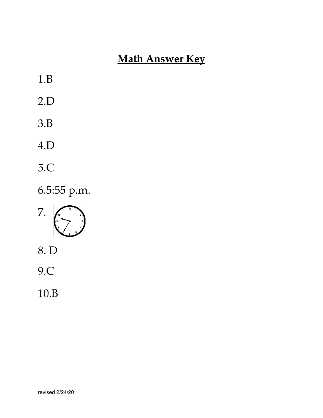# **Math Answer Key**

- 1.B
- 2.D
- 3.B
- 4.D
- 5.C

6.5:55 p.m.



- 8. D
- 9.C
- 10.B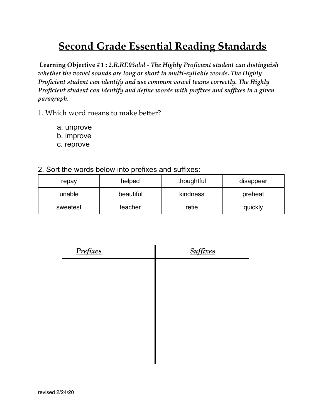## **Second Grade Essential Reading Standards**

**Learning Objective #1 :** *2.R.RF.03abd - The Highly Proficient student can distinguish whether the vowel sounds are long or short in multi-syllable words. The Highly Proficient student can identify and use common vowel teams correctly. The Highly Proficient student can identify and define words with prefixes and suffixes in a given paragraph.*

1. Which word means to make better?

- a. unprove
- b. improve
- c. reprove
- 2. Sort the words below into prefixes and suffixes:

| repay    | helped    | thoughtful | disappear |
|----------|-----------|------------|-----------|
| unable   | beautiful | kindness   | preheat   |
| sweetest | teacher   | retie      | quickly   |

| Prefixes | <b>Suffixes</b> |
|----------|-----------------|
|          |                 |
|          |                 |
|          |                 |
|          |                 |
|          |                 |
|          |                 |
|          |                 |
|          |                 |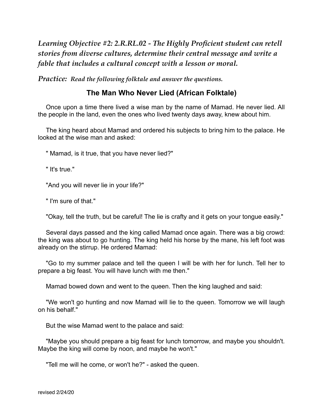*Learning Objective #2: 2.R.RL.02 - The Highly Proficient student can retell stories from diverse cultures, determine their central message and write a fable that includes a cultural concept with a lesson or moral.*

*Practice: Read the following folktale and answer the questions.*

#### **The Man Who Never Lied (African Folktale)**

Once upon a time there lived a wise man by the name of Mamad. He never lied. All the people in the land, even the ones who lived twenty days away, knew about him.

The king heard about Mamad and ordered his subjects to bring him to the palace. He looked at the wise man and asked:

" Mamad, is it true, that you have never lied?"

" It's true."

"And you will never lie in your life?"

" I'm sure of that."

"Okay, tell the truth, but be careful! The lie is crafty and it gets on your tongue easily."

Several days passed and the king called Mamad once again. There was a big crowd: the king was about to go hunting. The king held his horse by the mane, his left foot was already on the stirrup. He ordered Mamad:

"Go to my summer palace and tell the queen I will be with her for lunch. Tell her to prepare a big feast. You will have lunch with me then."

Mamad bowed down and went to the queen. Then the king laughed and said:

"We won't go hunting and now Mamad will lie to the queen. Tomorrow we will laugh on his behalf."

But the wise Mamad went to the palace and said:

"Maybe you should prepare a big feast for lunch tomorrow, and maybe you shouldn't. Maybe the king will come by noon, and maybe he won't."

"Tell me will he come, or won't he?" - asked the queen.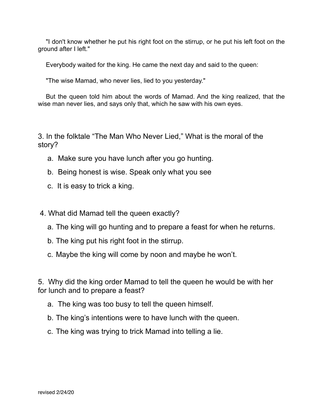"I don't know whether he put his right foot on the stirrup, or he put his left foot on the ground after I left."

Everybody waited for the king. He came the next day and said to the queen:

"The wise Mamad, who never lies, lied to you yesterday."

But the queen told him about the words of Mamad. And the king realized, that the wise man never lies, and says only that, which he saw with his own eyes.

3. In the folktale "The Man Who Never Lied," What is the moral of the story?

- a. Make sure you have lunch after you go hunting.
- b. Being honest is wise. Speak only what you see
- c. It is easy to trick a king.

4. What did Mamad tell the queen exactly?

- a. The king will go hunting and to prepare a feast for when he returns.
- b. The king put his right foot in the stirrup.
- c. Maybe the king will come by noon and maybe he won't.

5. Why did the king order Mamad to tell the queen he would be with her for lunch and to prepare a feast?

- a. The king was too busy to tell the queen himself.
- b. The king's intentions were to have lunch with the queen.
- c. The king was trying to trick Mamad into telling a lie.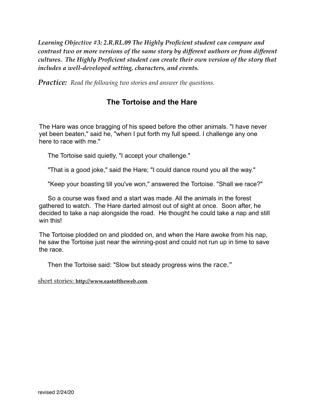*Learning Objective #3: 2.R.RL.09 The Highly Proficient student can compare and contrast two or more versions of the same story by different authors or from different cultures. The Highly Proficient student can create their own version of the story that includes a well-developed setting, characters, and events.*

*Practice: Read the following two stories and answer the questions.*

#### **The Tortoise and the Hare**

The Hare was once bragging of his speed before the other animals. "I have never yet been beaten," said he, "when I put forth my full speed. I challenge any one here to race with me."

The Tortoise said quietly, "I accept your challenge."

"That is a good joke," said the Hare; "I could dance round you all the way."

"Keep your boasting till you've won," answered the Tortoise. "Shall we race?"

 So a course was fixed and a start was made. All the animals in the forest gathered to watch. The Hare darted almost out of sight at once. Soon after, he decided to take a nap alongside the road. He thought he could take a nap and still win this!

The Tortoise plodded on and plodded on, and when the Hare awoke from his nap, he saw the Tortoise just near the winning-post and could not run up in time to save the race.

Then the Tortoise said: "Slow but steady progress wins the race."

short stories: **http://www.eastoftheweb.com**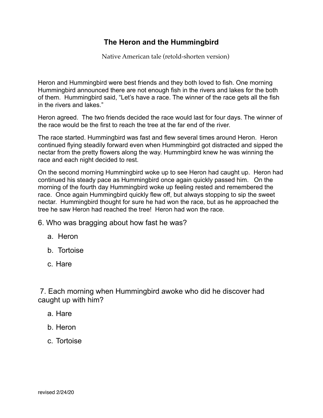#### **The Heron and the Hummingbird**

Native American tale (retold-shorten version)

Heron and Hummingbird were best friends and they both loved to fish. One morning Hummingbird announced there are not enough fish in the rivers and lakes for the both of them. Hummingbird said, "Let's have a race. The winner of the race gets all the fish in the rivers and lakes."

Heron agreed. The two friends decided the race would last for four days. The winner of the race would be the first to reach the tree at the far end of the river.

The race started. Hummingbird was fast and flew several times around Heron. Heron continued flying steadily forward even when Hummingbird got distracted and sipped the nectar from the pretty flowers along the way. Hummingbird knew he was winning the race and each night decided to rest.

On the second morning Hummingbird woke up to see Heron had caught up. Heron had continued his steady pace as Hummingbird once again quickly passed him. On the morning of the fourth day Hummingbird woke up feeling rested and remembered the race. Once again Hummingbird quickly flew off, but always stopping to sip the sweet nectar. Hummingbird thought for sure he had won the race, but as he approached the tree he saw Heron had reached the tree! Heron had won the race.

6. Who was bragging about how fast he was?

- a. Heron
- b. Tortoise
- c. Hare

 7. Each morning when Hummingbird awoke who did he discover had caught up with him?

- a. Hare
- b. Heron
- c. Tortoise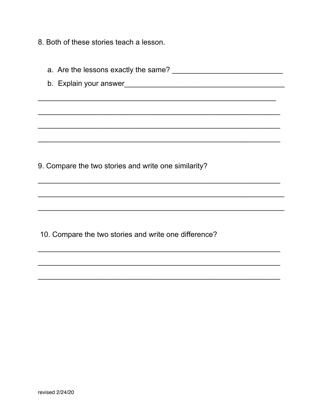8. Both of these stories teach a lesson.

| 9. Compare the two stories and write one similarity? |  |
|------------------------------------------------------|--|
|                                                      |  |
|                                                      |  |
|                                                      |  |

10. Compare the two stories and write one difference?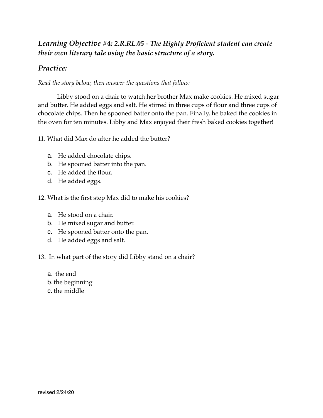#### *Learning Objective #4: 2.R.RL.05 - The Highly Proficient student can create their own literary tale using the basic structure of a story.*

#### *Practice:*

*Read the story below, then answer the questions that follow:* 

Libby stood on a chair to watch her brother Max make cookies. He mixed sugar and butter. He added eggs and salt. He stirred in three cups of flour and three cups of chocolate chips. Then he spooned batter onto the pan. Finally, he baked the cookies in the oven for ten minutes. Libby and Max enjoyed their fresh baked cookies together!

11. What did Max do after he added the butter?

- a. He added chocolate chips.
- b. He spooned batter into the pan.
- c. He added the flour.
- d. He added eggs.
- 12. What is the first step Max did to make his cookies?
	- a. He stood on a chair.
	- b. He mixed sugar and butter.
	- c. He spooned batter onto the pan.
	- d. He added eggs and salt.

13. In what part of the story did Libby stand on a chair?

- a. the end
- b. the beginning
- c. the middle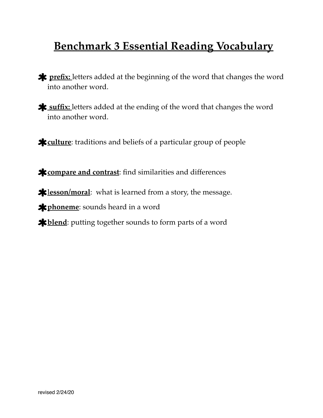## **Benchmark 3 Essential Reading Vocabulary**

- **\*** prefix: letters added at the beginning of the word that changes the word into another word.
- **\*** suffix: letters added at the ending of the word that changes the word into another word.
- **culture:** traditions and beliefs of a particular group of people

**compare and contrast:** find similarities and differences

**\***lesson/moral: what is learned from a story, the message.

**x** phoneme: sounds heard in a word

**\*blend**: putting together sounds to form parts of a word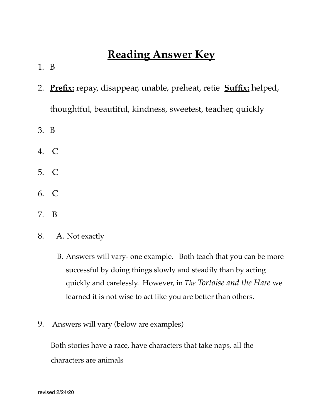## **Reading Answer Key**

- 1. B
- 2. **Prefix:** repay, disappear, unable, preheat, retie **Suffix:** helped, thoughtful, beautiful, kindness, sweetest, teacher, quickly
- 3. B
- 4. C
- 5. C
- 6. C
- 7. B
- 8. A. Not exactly
	- B. Answers will vary- one example. Both teach that you can be more successful by doing things slowly and steadily than by acting quickly and carelessly. However, in *The Tortoise and the Hare* we learned it is not wise to act like you are better than others.
- 9. Answers will vary (below are examples)

 Both stories have a race, have characters that take naps, all the characters are animals